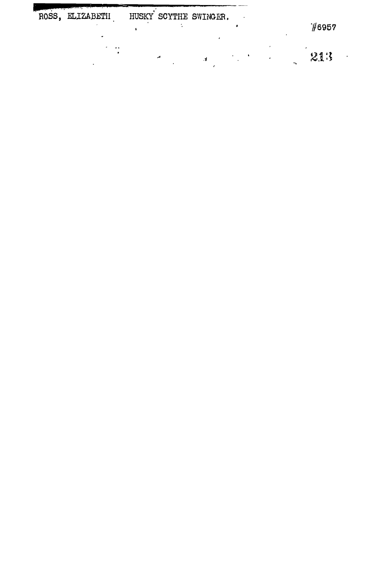| and the state of the state of the<br>ROSS, ELIZABETH |  | HUSKY SCYTHE SWINGER. |    | 16957 |
|------------------------------------------------------|--|-----------------------|----|-------|
| . .                                                  |  |                       | ∽. | 213   |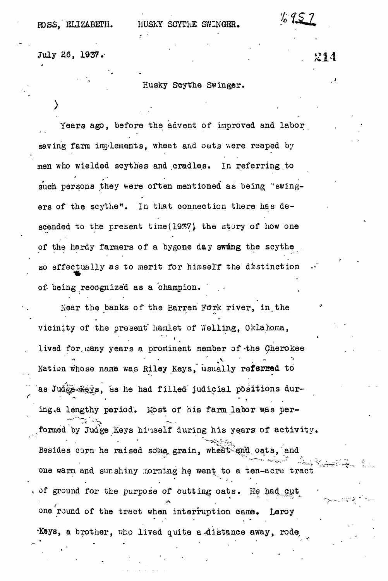ROSS. ELIZABETH. HUSKY SCYTHE SWINGER.

214

July 26, 1937.

**\***

## Husky Scythe Swinger.

Years ago, before the advent of improved and labor saving farm implements, wheat and oats were reaped by men who wielded scythes and cradles. In referring to such persons they were often mentioned as being 'swingers of the scythe". In that connection there has descended to the present time(1937) the story of how one of the hardy farmers of a bygone day swing the scythe so effectually as to merit for himself the distinction of being recognized as a champion.

Near the banks of the Barren Fork river, in the vicinity of the present' hamlet of Welling, Oklahoma, lived for many years a prominent member of the Cherokee lived for.iiiany years a prominent member of-the Cherokee Nation whose name was Riley Keys, usually referred to Nation whose name was Riley Keys, usually refej?2»d to as Judicial position in the had filled filled judicial positions during the had filled judicial positions duri<br>The had filled judicial positions during the had filled filled filled filled filled filled filled filled fille ing.a lengthy period. Most of his farm labor was performed by Judge Keys hinself during his years of activity. Besides corn he raised some grain, wheat and oats, and one warm and sunshiny morning he went to a ten-acre tract of ground for the purpose of cutting oats. He had cut one round of the tract when interruption came. Leroy Keys, a brother, who lived quite a distance away, rode

 $\mathcal{F}_\text{c}$  and the article density of a brother, who lived  $\mathcal{F}_\text{c}$  and  $\mathcal{F}_\text{c}$  are away, rodes away, rodes away,  $\mathcal{F}_\text{c}$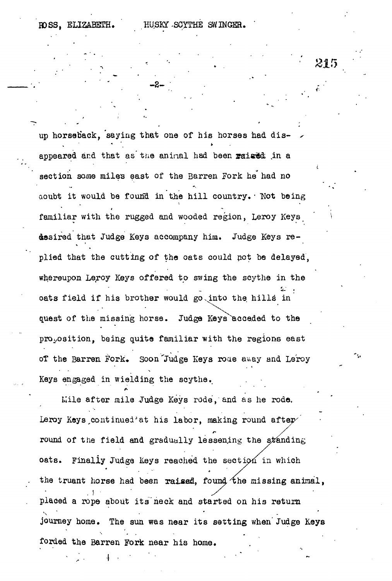*•• • '. • 2ir <sup>&</sup>gt;*

up horseback, saying that one of his horses had dis- ^ appeared and that as the aninal had been raised in a section some miles east of the Barren Fork he had no aoubt it would be found in the hill country. Not being familiar with the rugged and wooded region, Leroy Keys desired that Judge Keys accompany him. Judge Keys re plied that the cutting of the oats could net be delayed, whereupon Leroy Keys offered to swing the scythe in the oats field if his brother would go into the hills in quest of the missing horse. Judge Keys acceded to the proposition, being quite familiar with the regions east of the Barren Fork. Soon Judge Keys roae away and Leroy Keys engaged in wielding the scythe.

*- z - •*

Mile after mile Judge Keys rode, and as he rode, Leroy Keys continued'at his labor, making round after round of the field and gradually lessening the standing oats. Finally Judge Keys reached the section in which the truant horse had been raised, found the missing animal, placed a rope about its"neck and started on his return journey home. The sun was near its setting when Judge Keys forded the Barren Fork near his home.